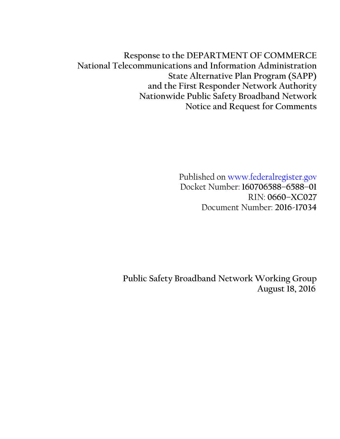**Response to the DEPARTMENT OF COMMERCE National Telecommunications and Information Administration State Alternative Plan Program (SAPP) and the First Responder Network Authority Nationwide Public Safety Broadband Network Notice and Request for Comments**

> Published on www.federalregister.gov Docket Number: **160706588–6588–01** RIN: **0660–XC027** Document Number: **2016-17034**

**Public Safety Broadband Network Working Group August 18, 2016**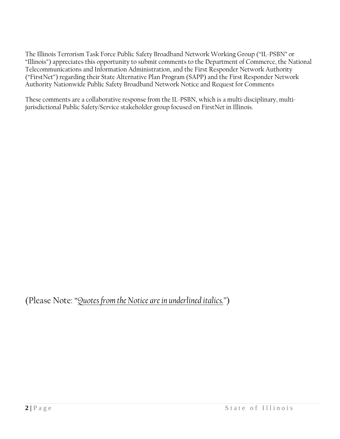The Illinois Terrorism Task Force Public Safety Broadband Network Working Group ("IL-PSBN" or "Illinois") appreciates this opportunity to submit comments to the Department of Commerce, the National Telecommunications and Information Administration, and the First Responder Network Authority ("FirstNet") regarding their State Alternative Plan Program (SAPP) and the First Responder Network Authority Nationwide Public Safety Broadband Network Notice and Request for Comments

These comments are a collaborative response from the IL-PSBN, which is a multi-disciplinary, multijurisdictional Public Safety/Service stakeholder group focused on FirstNet in Illinois.

(Please Note: "*Quotes from the Notice are in underlined italics."*)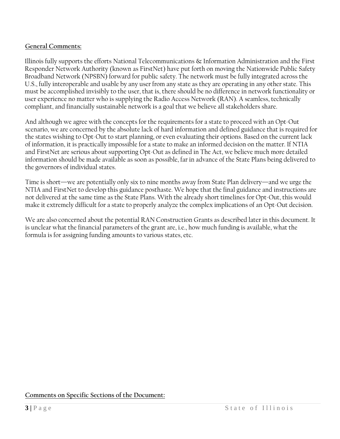### **General Comments:**

Illinois fully supports the efforts National Telecommunications & Information Administration and the First Responder Network Authority (known as FirstNet) have put forth on moving the Nationwide Public Safety Broadband Network (NPSBN) forward for public safety. The network must be fully integrated across the U.S., fully interoperable and usable by any user from any state as they are operating in any other state. This must be accomplished invisibly to the user, that is, there should be no difference in network functionality or user experience no matter who is supplying the Radio Access Network (RAN). A seamless, technically compliant, and financially sustainable network is a goal that we believe all stakeholders share.

And although we agree with the concepts for the requirements for a state to proceed with an Opt-Out scenario, we are concerned by the absolute lack of hard information and defined guidance that is required for the states wishing to Opt-Out to start planning, or even evaluating their options. Based on the current lack of information, it is practically impossible for a state to make an informed decision on the matter. If NTIA and FirstNet are serious about supporting Opt-Out as defined in The Act, we believe much more detailed information should be made available as soon as possible, far in advance of the State Plans being delivered to the governors of individual states.

Time is short—we are potentially only six to nine months away from State Plan delivery—and we urge the NTIA and FirstNet to develop this guidance posthaste. We hope that the final guidance and instructions are not delivered at the same time as the State Plans. With the already short timelines for Opt-Out, this would make it extremely difficult for a state to properly analyze the complex implications of an Opt-Out decision.

We are also concerned about the potential RAN Construction Grants as described later in this document. It is unclear what the financial parameters of the grant are, i.e., how much funding is available, what the formula is for assigning funding amounts to various states, etc.

**Comments on Specific Sections of the Document:**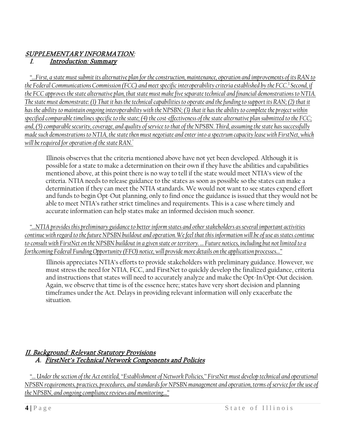### SUPPLEMENTARY INFORMATION: I. Introduction: Summary

*"…First, a state must submit its alternative plan for the construction, maintenance, operation and improvements of its RAN to the Federal Communications Commission (FCC) and meet specific interoperability criteria established by the FCC.<sup>3</sup> Second, if the FCC approves the state alternative plan, that state must make five separate technical and financial demonstrations to NTIA. The state must demonstrate: (1) That it has the technical capabilities to operate and the funding to support its RAN; (2) that it has the ability to maintain ongoing interoperability with the NPSBN; (3) that it has the ability to complete the project within specified comparable timelines specific to the state; (4) the cost-effectiveness of the state alternative plan submitted to the FCC; and, (5) comparable security, coverage, and quality of service to that of the NPSBN. Third, assuming the state has successfully made such demonstrations to NTIA, the state then must negotiate and enter into a spectrum capacity lease with FirstNet, which will be required for operation of the state RAN."*

Illinois observes that the criteria mentioned above have not yet been developed. Although it is possible for a state to make a determination on their own if they have the abilities and capabilities mentioned above, at this point there is no way to tell if the state would meet NTIA's view of the criteria. NTIA needs to release guidance to the states as soon as possible so the states can make a determination if they can meet the NTIA standards. We would not want to see states expend effort and funds to begin Opt-Out planning, only to find once the guidance is issued that they would not be able to meet NTIA's rather strict timelines and requirements. This is a case where timely and accurate information can help states make an informed decision much sooner.

*"…NTIA provides this preliminary guidance to better inform states and other stakeholders as several important activities continue with regard to the future NPSBN buildout and operation. We feel that this information will be of use as states continue to consult with FirstNet on the NPSBN buildout in a given state or territory. … Future notices, including but not limited to a forthcoming Federal Funding Opportunity (FFO) notice, will provide more details on the application processes…"*

Illinois appreciates NTIA's efforts to provide stakeholders with preliminary guidance. However, we must stress the need for NTIA, FCC, and FirstNet to quickly develop the finalized guidance, criteria and instructions that states will need to accurately analyze and make the Opt-In/Opt-Out decision. Again, we observe that time is of the essence here; states have very short decision and planning timeframes under the Act. Delays in providing relevant information will only exacerbate the situation.

### II. Background: Relevant Statutory Provisions A. FirstNet's Technical Network Components and Policies

*"… Under the section of the Act entitled, ''Establishment of Network Policies,'' FirstNet must develop technical and operational NPSBN requirements, practices, procedures, and standards for NPSBN management and operation, terms of service for the use of the NPSBN, and ongoing compliance reviews and monitoring…"*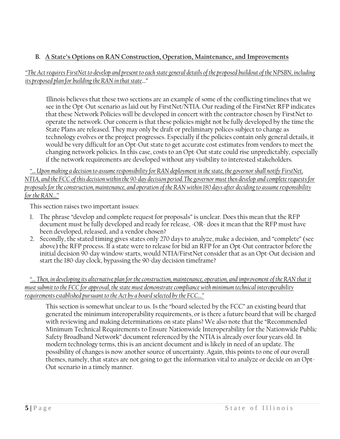## **B. A State's Options on RAN Construction, Operation, Maintenance, and Improvements**

### *"The Act requires FirstNet to develop and present to each state general details of the proposed buildout of the NPSBN, including its proposed plan for building the RAN in that state*…"

Illinois believes that these two sections are an example of some of the conflicting timelines that we see in the Opt-Out scenario as laid out by FirstNet/NTIA. Our reading of the FirstNet RFP indicates that these Network Policies will be developed in concert with the contractor chosen by FirstNet to operate the network. Our concern is that these policies might not be fully developed by the time the State Plans are released. They may only be draft or preliminary polices subject to change as technology evolves or the project progresses. Especially if the policies contain only general details, it would be very difficult for an Opt-Out state to get accurate cost estimates from vendors to meet the changing network policies. In this case, costs to an Opt-Out state could rise unpredictably, especially if the network requirements are developed without any visibility to interested stakeholders.

*"… Upon making a decision to assume responsibility for RAN deployment in the state, the governor shall notify FirstNet, NTIA, and the FCC of this decision within the 90-day decision period.The governor must then develop and complete requests for proposals for the construction, maintenance, and operation of the RAN within 180 days after deciding to assume responsibility for the RAN…"*

This section raises two important issues:

- 1. The phrase "develop and complete request for proposals" is unclear. Does this mean that the RFP document must be fully developed and ready for release, -OR- does it mean that the RFP must have been developed, released, and a vendor chosen?
- 2. Secondly, the stated timing gives states only 270 days to analyze, make a decision, and "complete" (see above) the RFP process. If a state were to release for bid an RFP for an Opt-Out contractor before the initial decision 90-day window starts, would NTIA/FirstNet consider that as an Opt-Out decision and start the 180-day clock, bypassing the 90-day decision timeframe?

*"… Then, in developing its alternative plan for the construction, maintenance, operation, and improvement of the RAN that it must submit to the FCC for approval, the state must demonstrate compliance with minimum technical interoperability requirements established pursuant to the Act by a board selected by the FCC…"*

This section is somewhat unclear to us. Is the "board selected by the FCC" an existing board that generated the minimum interoperability requirements, or is there a future board that will be charged with reviewing and making determinations on state plans? We also note that the "Recommended Minimum Technical Requirements to Ensure Nationwide Interoperability for the Nationwide Public Safety Broadband Network" document referenced by the NTIA is already over four years old. In modern technology terms, this is an ancient document and is likely in need of an update. The possibility of changes is now another source of uncertainty. Again, this points to one of our overall themes, namely, that states are not going to get the information vital to analyze or decide on an Opt-Out scenario in a timely manner.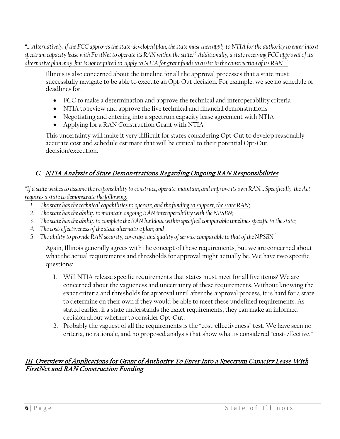*"… Alternatively, if the FCC approves the state-developed plan, the state must then apply to NTIA for the authority to enter into a spectrum capacity lease with FirstNet to operate its RAN within the state.<sup>16</sup> Additionally, a state receiving FCC approval of its alternative plan may, but is not required to, apply to NTIA for grant funds to assist in the construction of its RAN…"*

Illinois is also concerned about the timeline for all the approval processes that a state must successfully navigate to be able to execute an Opt-Out decision. For example, we see no schedule or deadlines for:

- FCC to make a determination and approve the technical and interoperability criteria
- NTIA to review and approve the five technical and financial demonstrations
- Negotiating and entering into a spectrum capacity lease agreement with NTIA
- Applying for a RAN Construction Grant with NTIA

This uncertainty will make it very difficult for states considering Opt-Out to develop reasonably accurate cost and schedule estimate that will be critical to their potential Opt-Out decision/execution.

# C. NTIA Analysis of State Demonstrations Regarding Ongoing RAN Responsibilities

*"If a state wishes to assume the responsibility to construct, operate, maintain, and improve its own RAN… Specifically, the Act requires a state to demonstrate the following:* 

- *1. The state has the technical capabilities to operate, and the funding to support, the state RAN;*
- *2. The state has the ability to maintain ongoing RAN interoperability with the NPSBN;*
- *3. The state has the ability to complete the RAN buildout within specified comparable timelines specific to the state;*
- *4. The cost-effectiveness of the state alternative plan; and*
- 5. *The ability to provide RAN security, coverage, and quality of service comparable to that of the NPSBN."*

Again, Illinois generally agrees with the concept of these requirements, but we are concerned about what the actual requirements and thresholds for approval might actually be. We have two specific questions:

- 1. Will NTIA release specific requirements that states must meet for all five items? We are concerned about the vagueness and uncertainty of these requirements. Without knowing the exact criteria and thresholds for approval until after the approval process, it is hard for a state to determine on their own if they would be able to meet these undefined requirements. As stated earlier, if a state understands the exact requirements, they can make an informed decision about whether to consider Opt-Out.
- 2. Probably the vaguest of all the requirements is the "cost-effectiveness" test. We have seen no criteria, no rationale, and no proposed analysis that show what is considered "cost-effective."

### III. Overview of Applications for Grant of Authority To Enter Into a Spectrum Capacity Lease With FirstNet and RAN Construction Funding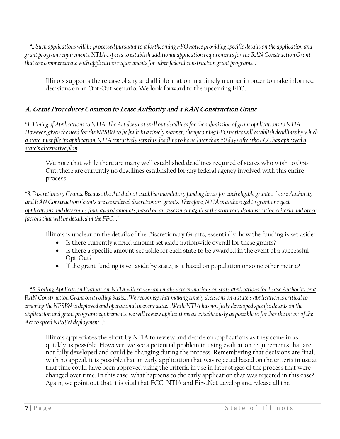*"…Such applications will be processed pursuant to a forthcoming FFO notice providing specific details on the application and grant program requirements.NTIA expects to establish additional application requirements for the RAN Construction Grant that are commensurate with application requirements for other federal construction grant programs…"* 

Illinois supports the release of any and all information in a timely manner in order to make informed decisions on an Opt-Out scenario. We look forward to the upcoming FFO.

# A. Grant Procedures Common to Lease Authority and a RAN Construction Grant

*"1. Timing of Applications to NTIA. The Act does not spell out deadlines for the submission of grant applications to NTIA. However, given the need for the NPSBN to be built in a timely manner, the upcoming FFO notice will establish deadlines by which a state must file its application. NTIA tentatively sets this deadline to be no later than 60 days after the FCC has approved a state's alternative plan* 

We note that while there are many well established deadlines required of states who wish to Opt-Out, there are currently no deadlines established for any federal agency involved with this entire process.

"*3. Discretionary Grants. Because the Act did not establish mandatory funding levels for each eligible grantee, Lease Authority and RAN Construction Grants are considered discretionary grants. Therefore, NTIA is authorized to grant or reject applications and determine final award amounts, based on an assessment against the statutory demonstration criteria and other factors that will be detailed in the FFO…"*

Illinois is unclear on the details of the Discretionary Grants, essentially, how the funding is set aside:

- Is there currently a fixed amount set aside nationwide overall for these grants?
- Is there a specific amount set aside for each state to be awarded in the event of a successful Opt-Out?
- If the grant funding is set aside by state, is it based on population or some other metric?

*"5. Rolling Application Evaluation. NTIA will review and make determinations on state applications for Lease Authority or a RAN Construction Grant on a rolling basis… We recognize that making timely decisions on a state's application is critical to ensuring the NPSBN is deployed and operational in every state… While NTIA has not fully developed specific details on the application and grant program requirements, we will review applications as expeditiously as possible to further the intent of the Act to speed NPSBN deployment…"* 

Illinois appreciates the effort by NTIA to review and decide on applications as they come in as quickly as possible. However, we see a potential problem in using evaluation requirements that are not fully developed and could be changing during the process. Remembering that decisions are final, with no appeal, it is possible that an early application that was rejected based on the criteria in use at that time could have been approved using the criteria in use in later stages of the process that were changed over time. In this case, what happens to the early application that was rejected in this case? Again, we point out that it is vital that FCC, NTIA and FirstNet develop and release all the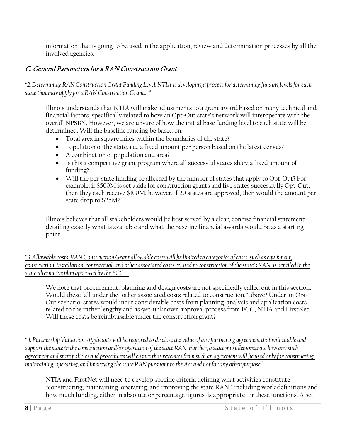information that is going to be used in the application, review and determination processes by all the involved agencies.

## C. General Parameters for a RAN Construction Grant

*"2. Determining RAN Construction Grant Funding Level. NTIA is developing a process for determining funding levels for each state that may apply for a RAN Construction Grant…."* 

Illinois understands that NTIA will make adjustments to a grant award based on many technical and financial factors, specifically related to how an Opt-Out state's network will interoperate with the overall NPSBN. However, we are unsure of how the initial base funding level to each state will be determined. Will the baseline funding be based on:

- Total area in square miles within the boundaries of the state?
- Population of the state, i.e., a fixed amount per person based on the latest census?
- A combination of population and area?
- Is this a competitive grant program where all successful states share a fixed amount of funding?
- Will the per-state funding be affected by the number of states that apply to Opt-Out? For example, if \$500M is set aside for construction grants and five states successfully Opt-Out, then they each receive \$100M; however, if 20 states are approved, then would the amount per state drop to \$25M?

Illinois believes that all stakeholders would be best served by a clear, concise financial statement detailing exactly what is available and what the baseline financial awards would be as a starting point.

*"3. Allowable costs. RAN Construction Grant allowable costs will be limited to categories of costs, such as equipment, construction, installation, contractual, and other associated costs related to construction of the state's RAN as detailed in the state alternative plan approved by the FCC…"*

We note that procurement, planning and design costs are not specifically called out in this section. Would these fall under the "other associated costs related to construction," above? Under an Opt-Out scenario, states would incur considerable costs from planning, analysis and application costs related to the rather lengthy and as-yet-unknown approval process from FCC, NTIA and FirstNet. Will these costs be reimbursable under the construction grant?

*"4. Partnership Valuation. Applicants will be required to disclose the value of any partnering agreement that will enable and support the state in the construction and/or operation of the state RAN. Further, a state must demonstrate how any such agreement and state policies and procedures will ensure that revenues from such an agreement will be used only for constructing, maintaining, operating, and improving the state RAN pursuant to the Act and not for any other purpose."*

NTIA and FirstNet will need to develop specific criteria defining what activities constitute "constructing, maintaining, operating, and improving the state RAN," including work definitions and how much funding, either in absolute or percentage figures, is appropriate for these functions. Also,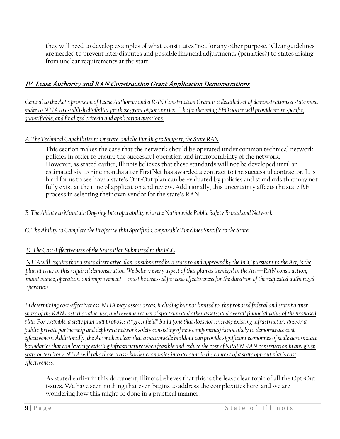they will need to develop examples of what constitutes "not for any other purpose." Clear guidelines are needed to prevent later disputes and possible financial adjustments (penalties?) to states arising from unclear requirements at the start.

# IV. Lease Authority and RAN Construction Grant Application Demonstrations

*Central to the Act's provision of Lease Authority and a RAN Construction Grant is a detailed set of demonstrations a state must make to NTIA to establish eligibility for these grant opportunities…The forthcoming FFO notice will provide more specific, quantifiable, and finalized criteria and application questions.* 

### *A. The Technical Capabilities to Operate, and the Funding to Support, the State RAN*

This section makes the case that the network should be operated under common technical network policies in order to ensure the successful operation and interoperability of the network. However, as stated earlier, Illinois believes that these standards will not be developed until an estimated six to nine months after FirstNet has awarded a contract to the successful contractor. It is hard for us to see how a state's Opt-Out plan can be evaluated by policies and standards that may not fully exist at the time of application and review. Additionally, this uncertainty affects the state RFP process in selecting their own vendor for the state's RAN.

### *B. The Ability to Maintain Ongoing Interoperability with the Nationwide Public Safety Broadband Network*

### *C. The Ability to Complete the Project within Specified Comparable Timelines Specific to the State*

### *D. The Cost-Effectiveness of the State Plan Submitted to the FCC*

*NTIA will require that a state alternative plan, as submitted by a state to and approved by the FCC pursuant to the Act, is the plan at issue in this required demonstration. We believe every aspect of that plan as itemized in the Act—RAN construction, maintenance, operation, and improvement—must be assessed for cost-effectiveness for the duration of the requested authorized operation.* 

*In determining cost-effectiveness, NTIA may assess areas, including but not limited to, the proposed federal and state partner share of the RAN cost; the value, use, and revenue return of spectrum and other assets; and overall financial value of the proposed plan. For example, a state plan that proposes a ''greenfield'' build (one that does not leverage existing infrastructure and/or a public-private partnership and deploys a network solely consisting of new components) is not likely to demonstrate cost effectiveness. Additionally, the Act makes clear that a nationwide buildout can provide significant economies of scale across state boundaries that can leverage existing infrastructure when feasible and reduce the cost of NPSBN RAN construction in any given state or territory. NTIA will take these cross- border economies into account in the context of a state opt-out plan's cost effectiveness.* 

As stated earlier in this document, Illinois believes that this is the least clear topic of all the Opt-Out issues. We have seen nothing that even begins to address the complexities here, and we are wondering how this might be done in a practical manner.